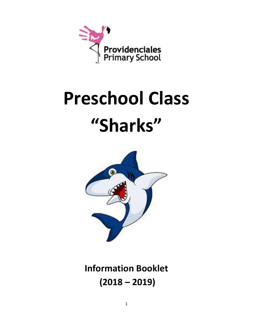

# **Preschool Class "Sharks"**



**Information Booklet (2018 – 2019)**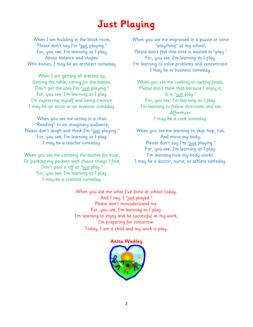### **Just Playing**

When I am building in the block room, Please don't say I'm "just playing." For, you see, I'm learning as I play, About balance and shapes. Who knows, I may be an architect someday.

When I am getting all dressed up, Setting the table, caring for the babies, Don't get the idea I'm "just playing." For, you see, I'm learning as I play. I'm expressing myself and being creative. I may be an artist or an inventor someday.

When you see me sitting in a chair "Reading" to an imaginary audience, Please don't laugh and think I'm "just playing." For, you see, I'm learning as I play. I may be a teacher someday.

When you see me combing the bushes for bugs, Or packing my pockets with choice things I find, Don't pass it off as "just play." For, you see, I'm learning as I play. I may be a scientist someday.

When you see me engrossed in a puzzle or some "plaything" at my school, Please don't feel that time is wasted in "play." For, you see, I'm learning as I play. I'm learning to solve problems and concentrate. I may be in business someday.

When you see me cooking or tasting foods, Please don't think that because I enjoy it, It is "just play." For, you see, I'm learning as I play. I'm learning to follow directions and see differences. I may be a cook someday.

When you see me learning to skip, hop, run, And move my body, Please don't say I'm "just playing." For, you see, I'm learning as I play. I'm learning how my body works. I may be a doctor, nurse, or athlete someday.

When you ask me what I've done at school today, And I say, I "<u>just</u> played." Please don't misunderstand me. For, you see, I'm learning as I play. I'm learning to enjoy and be successful at my work, I'm preparing for tomorrow. Today, I am a child and my work is play.

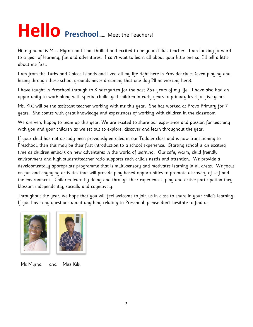## **Hello Preschool**…… Meet the Teachers!

Hi, my name is Miss Myrna and I am thrilled and excited to be your child's teacher. I am looking forward to a year of learning, fun and adventures. I can't wait to learn all about your little one so, I'll tell a little about me first.

I am from the Turks and Caicos Islands and lived all my life right here in Providenciales (even playing and hiking through these school grounds never dreaming that one day I'll be working here).

I have taught in Preschool through to Kindergarten for the past 25+ years of my life. I have also had an opportunity to work along with special challenged children in early years to primary level for five years.

Ms. Kiki will be the assistant teacher working with me this year. She has worked at Provo Primary for 7 years. She comes with great knowledge and experiences of working with children in the classroom.

We are very happy to team up this year. We are excited to share our experience and passion for teaching with you and your children as we set out to explore, discover and learn throughout the year.

If your child has not already been previously enrolled in our Toddler class and is now transitioning to Preschool, then this may be their first introduction to a school experience. Starting school is an exciting time as children embark on new adventures in the world of learning. Our safe, warm, child friendly environment and high student/teacher ratio supports each child's needs and attention. We provide a developmentally appropriate programme that is multi-sensory and motivates learning in all areas. We focus on fun and engaging activities that will provide play-based opportunities to promote discovery of self and the environment. Children learn by doing and through their experiences, play and active participation they blossom independently, socially and cognitively.

Throughout the year, we hope that you will feel welcome to join us in class to share in your child's learning. If you have any questions about anything relating to Preschool, please don't hesitate to find us!





Ms Myrna and Miss Kiki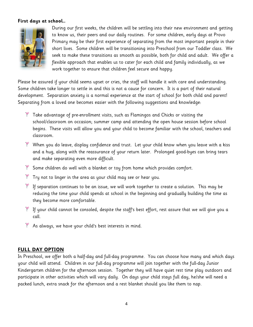#### **First days at school…**



During our first weeks, the children will be settling into their new environment and getting to know us, their peers and our daily routines. For some children, early days at Provo Primary may be their first experience of separating from the most important people in their short lives. Some children will be transitioning into Preschool from our Toddler class. We seek to make these transitions as smooth as possible, both for child and adult. We offer a flexible approach that enables us to cater for each child and family individually, as we work together to ensure that children feel secure and happy.

Please be assured if your child seems upset or cries, the staff will handle it with care and understanding. Some children take longer to settle in and this is not a cause for concern. It is a part of their natural development. Separation anxiety is a normal experience at the start of school for both child and parent! Separating from a loved one becomes easier with the following suggestions and knowledge:

- $*$  Take advantage of pre-enrollment visits, such as Flamingos and Chicks or visiting the school/classroom on occasion; summer camp and attending the open house session before school begins. These visits will allow you and your child to become familiar with the school, teachers and classroom.
- When you do leave, display confidence and trust. Let your child know when you leave with a kiss and a hug, along with the reassurance of your return later. Prolonged good-byes can bring tears and make separating even more difficult.
- $\mathbb K$  Some children do well with a blanket or toy from home which provides comfort.
- $\mathbb{F}$  Try not to linger in the area as your child may see or hear you.
- $*$  If separation continues to be an issue, we will work together to create a solution. This may be reducing the time your child spends at school in the beginning and gradually building the time as they become more comfortable.
- $\mathbb {I}$  If your child cannot be consoled, despite the staff's best effort, rest assure that we will give you a call.
- As always, we have your child's best interests in mind.

#### **FULL DAY OPTION**

In Preschool, we offer both a half-day and full-day programme. You can choose how many and which days your child will attend. Children in our full-day programme will join together with the full-day Junior Kindergarten children for the afternoon session. Together they will have quiet rest time play outdoors and participate in other activities which will vary daily. On days your child stays full day, he/she will need a packed lunch, extra snack for the afternoon and a rest blanket should you like them to nap.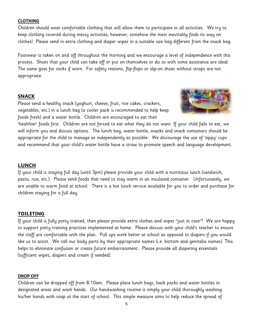#### **CLOTHING**

Children should wear comfortable clothing that will allow them to participate in all activities. We try to keep clothing covered during messy activities; however, somehow the mess inevitably finds its way on clothes! Please send in extra clothing and diaper wipes in a suitable size bag different from the snack bag.

Footwear is taken on and off throughout the morning and we encourage a level of independence with this process. Shoes that your child can take off or put on themselves or do so with some assistance are ideal. The same goes for socks if worn. For safety reasons, flip-flops or slip-on shoes without straps are not appropriate.

#### **SNACK**

Please send a healthy snack (yoghurt, cheese, fruit, rice cakes, crackers, vegetables, etc.) in a lunch bag (a cooler pack is recommended to help keep foods fresh) and a water bottle. Children are encouraged to eat their



'healthier' foods first. Children are not forced to eat what they do not want. If your child fails to eat, we will inform you and discuss options. The lunch bag, water bottle, snacks and snack containers should be appropriate for the child to manage as independently as possible. We discourage the use of 'sippy' cups and recommend that your child's water bottle have a straw to promote speech and language development.

#### **LUNCH**

If your child is staying full day (until 3pm) please provide your child with a nutritious lunch (sandwich, pasta, rice, etc.). Please send foods that need to stay warm in an insulated container. Unfortunately, we are unable to warm food at school. There is a hot lunch service available for you to order and purchase for children staying for a full day.

#### **TOILETING**

If your child is fully potty trained, then please provide extra clothes and wipes "just in case"! We are happy to support potty training practices implemented at home. Please discuss with your child's teacher to ensure the staff are comfortable with the plan. Pull ups work better at school as opposed to diapers if you would like us to assist. We call our body parts by their appropriate names (i.e. bottom and genitalia names). This helps to eliminate confusion or create future embarrassment. Please provide all diapering essentials (sufficient wipes, diapers and cream if needed).

#### **DROP OFF**

Children can be dropped off from 8.10am. Please place lunch bags, back packs and water bottles in designated areas and wash hands. Our handwashing routine is simply your child thoroughly washing his/her hands with soap at the start of school. This simple measure aims to help reduce the spread of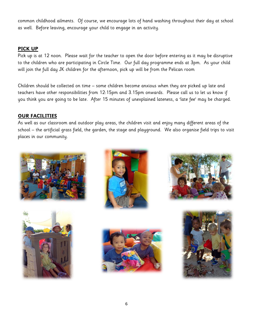common childhood ailments. Of course, we encourage lots of hand washing throughout their day at school as well. Before leaving, encourage your child to engage in an activity.

#### **PICK UP**

Pick up is at 12 noon. Please wait for the teacher to open the door before entering as it may be disruptive to the children who are participating in Circle Time. Our full day programme ends at 3pm. As your child will join the full day JK children for the afternoon, pick up will be from the Pelican room

Children should be collected on time – some children become anxious when they are picked up late and teachers have other responsibilities from 12:15pm and 3.15pm onwards. Please call us to let us know if you think you are going to be late. After 15 minutes of unexplained lateness, a 'late fee' may be charged.

#### **OUR FACILITIES**

As well as our classroom and outdoor play areas, the children visit and enjoy many different areas of the school – the artificial grass field, the garden, the stage and playground. We also organise field trips to visit places in our community.











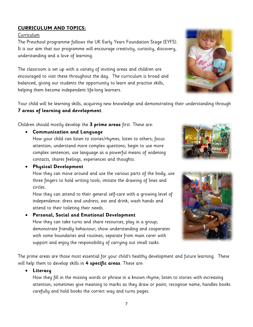#### **CURRICULUM AND TOPICS:**

#### Curriculum

The Preschool programme follows the UK Early Years Foundation Stage (EYFS). It is our aim that our programme will encourage creativity, curiosity, discovery, understanding and a love of learning.

The classroom is set up with a variety of inviting areas and children are encouraged to visit these throughout the day. The curriculum is broad and balanced, giving our students the opportunity to learn and practise skills, helping them become independent life-long learners.

Your child will be learning skills, acquiring new knowledge and demonstrating their understanding through **7 areas of learning and development**.

Children should mostly develop the **3 prime areas** first. These are:

• **Communication and Language** 

How your child can listen to stories/rhymes; listen to others; focus attention; understand more complex questions; begin to use more complex sentences; use language as a powerful means of widening contacts, shares feelings, experiences and thoughts.

#### • **Physical Development**

How they can move around and use the various parts of the body; use three fingers to hold writing tools; imitate the drawing of lines and circles.

How they can attend to their general self-care with a growing level of independence: dress and undress; eat and drink; wash hands and attend to their toileting their needs.

#### • **Personal, Social and Emotional Development**

How they can take turns and share resources; play in a group; demonstrate friendly behaviour; show understanding and cooperates with some boundaries and routines; separate from main carer with support and enjoy the responsibility of carrying out small tasks.

The prime areas are those most essential for your child's healthy development and future learning. These will help them to develop skills in **4 specific areas**. These are:

#### • **Literacy**

How they fill in the missing words or phrase in a known rhyme; listen to stories with increasing attention; sometimes give meaning to marks as they draw or paint; recognise name; handles books carefully and hold books the correct way and turns pages.





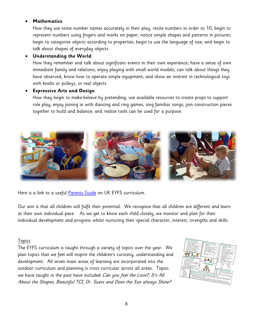#### • **Mathematics**

How they use some number names accurately in their play; recite numbers in order to 10; begin to represent numbers using fingers and marks on paper; notice simple shapes and patterns in pictures; begin to categorise objects according to properties; begin to use the language of size; and begin to talk about shapes of everyday objects.

#### • **Understanding the World**

How they remember and talk about significant events in their own experience; have a sense of own immediate family and relations; enjoy playing with small world models; can talk about things they have observed; know how to operate simple equipment; and show an interest in technological toys with knobs or pulleys, or real objects.

#### • **Expressive Arts and Design**

How they begin to make-believe by pretending; use available resources to create props to support role play; enjoy joining in with dancing and ring games; sing familiar songs; join construction pieces together to build and balance; and realise tools can be used for a purpose.



Here is a link to a useful [Parents Guide](http://www.foundationyears.org.uk/files/2015/04/4Children_ParentsGuide_2015_FINAL_WEBv2.pdf) on UK EYFS curriculum.

Our aim is that all children will fulfil their potential. We recognise that all children are different and learn at their own individual pace. As we get to know each child closely, we monitor and plan for their individual development and progress whilst nurturing their special character, interest, strengths and skills.

#### Topics

The EYFS curriculum is taught through a variety of topics over the year. We plan topics that we feel will inspire the children's curiosity, understanding and development. All seven main areas of learning are incorporated into the outdoor curriculum and planning is cross curricular across all areas. Topics we have taught in the past have included *Can you feel the Love?, It's All* About the Shapes, Beautiful TCI, Dr. Suess and Does the Sun always Shine?

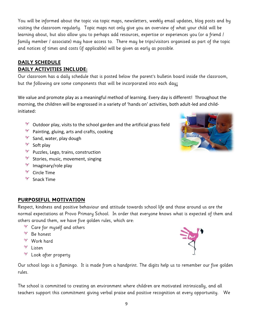You will be informed about the topic via topic maps, newsletters, weekly email updates, blog posts and by visiting the classroom regularly. Topic maps not only give you an overview of what your child will be learning about, but also allow you to perhaps add resources, expertise or experiences you (or a friend / family member / associate) may have access to. There may be trips/visitors organised as part of the topic and notices of times and costs (if applicable) will be given as early as possible.

#### **DAILY SCHEDULE DAILY ACTIVITIES INCLUDE:**

Our classroom has a daily schedule that is posted below the parent's bulletin board inside the classroom, but the following are some components that will be incorporated into each day**:**

We value and promote play as a meaningful method of learning. Every day is different! Throughout the morning, the children will be engrossed in a variety of 'hands on' activities, both adult-led and childinitiated:

- 制 Outdoor play, visits to the school garden and the artificial grass field
- $\mathbb{R}^n$  Painting, gluing, arts and crafts, cooking
- Sand, water, play dough
- $\mathbb{R}$  Soft play
- **PUZZles, Lego, trains, construction**
- $\mathbb{R}^n$  Stories, music, movement, singing
- Imaginary/role play
- Circle Time
- $\mathbb{R}$  Snack Time

#### **PURPOSEFUL MOTIVATION**

Respect, kindness and positive behaviour and attitude towards school life and those around us are the normal expectations at Provo Primary School. In order that everyone knows what is expected of them and others around them, we have five golden rules, which are:

- **Care for myself and others**
- Be honest
- <sup>→</sup> Work hard
- **N** Listen
- 掣 Look after property

Our school logo is a flamingo. It is made from a handprint. The digits help us to remember our five golden rules.

The school is committed to creating an environment where children are motivated intrinsically, and all teachers support this commitment giving verbal praise and positive recognition at every opportunity. We

9



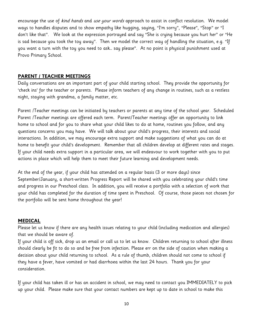encourage the use of kind hands and use your words approach to assist in conflict resolution. We model ways to handles disputes and to show empathy like hugging, saying, "I'm sorry", "Please", "Stop" or "I don't like that". We look at the expression portrayed and say "She is crying because you hurt her" or "He is sad because you took the toy away". Then we model the correct way of handling the situation, e.g. "If you want a turn with the toy you need to ask… say please". At no point is physical punishment used at Provo Primary School.

#### **PARENT / TEACHER MEETINGS**

Daily conversations are an important part of your child starting school. They provide the opportunity for 'check ins' for the teacher or parents. Please inform teachers of any change in routines, such as a restless night, staying with grandma, a family matter, etc.

Parent /Teacher meetings can be initiated by teachers or parents at any time of the school year. Scheduled Parent /Teacher meetings are offered each term. Parent/Teacher meetings offer an opportunity to link home to school and for you to share what your child likes to do at home, routines you follow, and any questions concerns you may have. We will talk about your child's progress, their interests and social interactions. In addition, we may encourage extra support and make suggestions of what you can do at home to benefit your child's development. Remember that all children develop at different rates and stages. If your child needs extra support in a particular area, we will endeavour to work together with you to put actions in place which will help them to meet their future learning and development needs.

At the end of the year, if your child has attended on a regular basis (3 or more days) since September/January, a short-written Progress Report will be shared with you celebrating your child's time and progress in our Preschool class. In addition, you will receive a portfolio with a selection of work that your child has completed for the duration of time spent in Preschool. Of course, those pieces not chosen for the portfolio will be sent home throughout the year!

#### **MEDICAL**

Please let us know if there are any health issues relating to your child (including medication and allergies) that we should be aware of.

If your child is off sick, drop us an email or call us to let us know. Children returning to school after illness should clearly be fit to do so and be free from infection. Please err on the side of caution when making a decision about your child returning to school. As a rule of thumb, children should not come to school if they have a fever, have vomited or had diarrhoea within the last 24 hours. Thank you for your consideration.

If your child has taken ill or has an accident in school, we may need to contact you IMMEDIATELY to pick up your child. Please make sure that your contact numbers are kept up to date in school to make this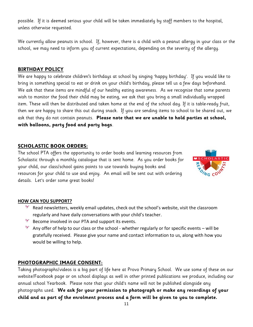possible. If it is deemed serious your child will be taken immediately by staff members to the hospital, unless otherwise requested.

We currently allow peanuts in school. If, however, there is a child with a peanut allergy in your class or the school, we may need to inform you of current expectations, depending on the severity of the allergy.

#### **BIRTHDAY POLICY**

We are happy to celebrate children's birthdays at school by singing 'happy birthday'. If you would like to bring in something special to eat or drink on your child's birthday, please tell us a few days beforehand. We ask that these items are mindful of our healthy eating awareness. As we recognise that some parents wish to monitor the food their child may be eating, we ask that you bring a small individually wrapped item. These will then be distributed and taken home at the end of the school day. If it is table-ready fruit, then we are happy to share this out during snack. If you are sending items to school to be shared out, we ask that they do not contain peanuts. **Please note that we are unable to hold parties at school, with balloons, party food and party bags**.

#### **SCHOLASTIC BOOK ORDERS:**

The school PTA offers the opportunity to order books and learning resources from Scholastic through a monthly catalogue that is sent home. As you order books for your child, our class/school gains points to use towards buying books and resources for your child to use and enjoy. An email will be sent out with ordering details. Let's order some great books!



#### **HOW CAN YOU SUPPORT?**

- $\mathbb{R}^n$  Read newsletters, weekly email updates, check out the school's website, visit the classroom regularly and have daily conversations with your child's teacher.
- $\mathbb{R}^n$  Become involved in our PTA and support its events.
- $\mathbb K$  Any offer of help to our class or the school whether regularly or for specific events will be gratefully received. Please give your name and contact information to us, along with how you would be willing to help.

#### **PHOTOGRAPHIC IMAGE CONSENT:**

Taking photographs/videos is a big part of life here at Provo Primary School. We use some of these on our website/Facebook page or on school displays as well in other printed publications we produce, including our annual school Yearbook. Please note that your child's name will not be published alongside any photographs used. **We ask for your permission to photograph or make any recordings of your child and as part of the enrolment process and a form will be given to you to complete.**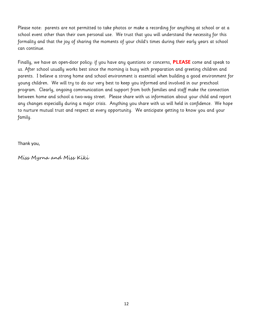Please note: parents are not permitted to take photos or make a recording for anything at school or at a school event other than their own personal use. We trust that you will understand the necessity for this formality and that the joy of sharing the moments of your child's times during their early years at school can continue.

Finally, we have an open-door policy: if you have any questions or concerns, **PLEASE** come and speak to us. After school usually works best since the morning is busy with preparation and greeting children and parents. I believe a strong home and school environment is essential when building a good environment for young children. We will try to do our very best to keep you informed and involved in our preschool program. Clearly, ongoing communication and support from both families and staff make the connection between home and school a two-way street. Please share with us information about your child and report any changes especially during a major crisis. Anything you share with us will held in confidence. We hope to nurture mutual trust and respect at every opportunity. We anticipate getting to know you and your family.

Thank you,

Miss Myrna and Miss Kiki